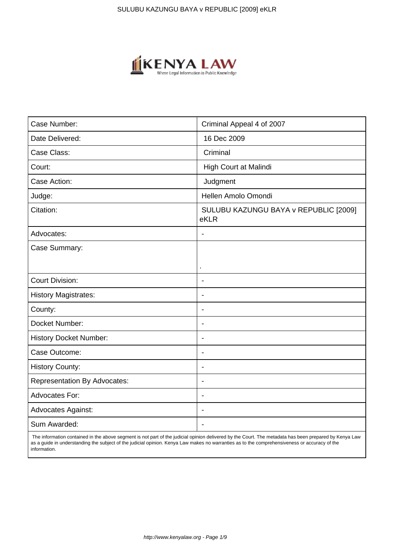

| Case Number:                        | Criminal Appeal 4 of 2007                     |
|-------------------------------------|-----------------------------------------------|
| Date Delivered:                     | 16 Dec 2009                                   |
| Case Class:                         | Criminal                                      |
| Court:                              | High Court at Malindi                         |
| Case Action:                        | Judgment                                      |
| Judge:                              | Hellen Amolo Omondi                           |
| Citation:                           | SULUBU KAZUNGU BAYA v REPUBLIC [2009]<br>eKLR |
| Advocates:                          | $\overline{\phantom{a}}$                      |
| Case Summary:                       |                                               |
|                                     | ×                                             |
| <b>Court Division:</b>              |                                               |
| <b>History Magistrates:</b>         | $\overline{\phantom{a}}$                      |
| County:                             | $\blacksquare$                                |
| Docket Number:                      | $\overline{\phantom{a}}$                      |
| <b>History Docket Number:</b>       | $\blacksquare$                                |
| Case Outcome:                       | $\overline{\phantom{a}}$                      |
| <b>History County:</b>              | $\blacksquare$                                |
| <b>Representation By Advocates:</b> |                                               |
| Advocates For:                      | $\overline{\phantom{a}}$                      |
| Advocates Against:                  | $\overline{\phantom{a}}$                      |
| Sum Awarded:                        |                                               |

 The information contained in the above segment is not part of the judicial opinion delivered by the Court. The metadata has been prepared by Kenya Law as a guide in understanding the subject of the judicial opinion. Kenya Law makes no warranties as to the comprehensiveness or accuracy of the information.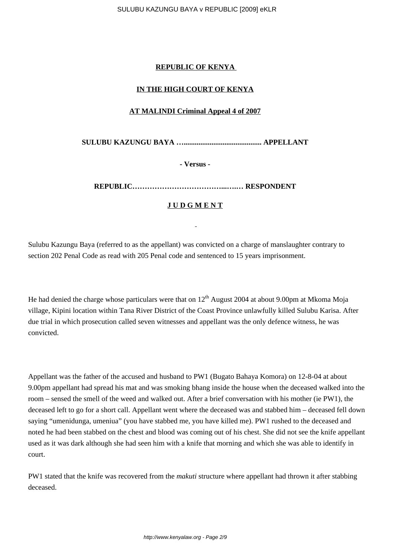# **REPUBLIC OF KENYA**

# **IN THE HIGH COURT OF KENYA**

## **AT MALINDI Criminal Appeal 4 of 2007**

**SULUBU KAZUNGU BAYA ….......................................... APPELLANT**

**- Versus -**

**REPUBLIC………………………………...….… RESPONDENT**

# **J U D G M E N T**

Sulubu Kazungu Baya (referred to as the appellant) was convicted on a charge of manslaughter contrary to section 202 Penal Code as read with 205 Penal code and sentenced to 15 years imprisonment.

He had denied the charge whose particulars were that on  $12<sup>th</sup>$  August 2004 at about 9.00pm at Mkoma Moja village, Kipini location within Tana River District of the Coast Province unlawfully killed Sulubu Karisa. After due trial in which prosecution called seven witnesses and appellant was the only defence witness, he was convicted.

Appellant was the father of the accused and husband to PW1 (Bugato Bahaya Komora) on 12-8-04 at about 9.00pm appellant had spread his mat and was smoking bhang inside the house when the deceased walked into the room – sensed the smell of the weed and walked out. After a brief conversation with his mother (ie PW1), the deceased left to go for a short call. Appellant went where the deceased was and stabbed him – deceased fell down saying "umenidunga, umeniua" (you have stabbed me, you have killed me). PW1 rushed to the deceased and noted he had been stabbed on the chest and blood was coming out of his chest. She did not see the knife appellant used as it was dark although she had seen him with a knife that morning and which she was able to identify in court.

PW1 stated that the knife was recovered from the *makuti* structure where appellant had thrown it after stabbing deceased.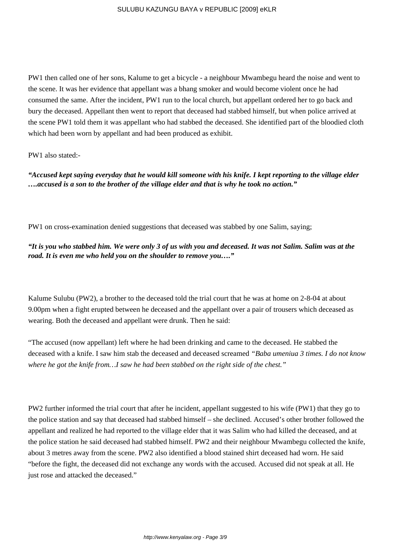PW1 then called one of her sons, Kalume to get a bicycle - a neighbour Mwambegu heard the noise and went to the scene. It was her evidence that appellant was a bhang smoker and would become violent once he had consumed the same. After the incident, PW1 run to the local church, but appellant ordered her to go back and bury the deceased. Appellant then went to report that deceased had stabbed himself, but when police arrived at the scene PW1 told them it was appellant who had stabbed the deceased. She identified part of the bloodied cloth which had been worn by appellant and had been produced as exhibit.

### PW1 also stated:-

*"Accused kept saying everyday that he would kill someone with his knife. I kept reporting to the village elder ….accused is a son to the brother of the village elder and that is why he took no action."*

PW1 on cross-examination denied suggestions that deceased was stabbed by one Salim, saying;

*"It is you who stabbed him. We were only 3 of us with you and deceased. It was not Salim. Salim was at the road. It is even me who held you on the shoulder to remove you…."*

Kalume Sulubu (PW2), a brother to the deceased told the trial court that he was at home on 2-8-04 at about 9.00pm when a fight erupted between he deceased and the appellant over a pair of trousers which deceased as wearing. Both the deceased and appellant were drunk. Then he said:

"The accused (now appellant) left where he had been drinking and came to the deceased. He stabbed the deceased with a knife. I saw him stab the deceased and deceased screamed *"Baba umeniua 3 times. I do not know where he got the knife from…I saw he had been stabbed on the right side of the chest."*

PW2 further informed the trial court that after he incident, appellant suggested to his wife (PW1) that they go to the police station and say that deceased had stabbed himself – she declined. Accused's other brother followed the appellant and realized he had reported to the village elder that it was Salim who had killed the deceased, and at the police station he said deceased had stabbed himself. PW2 and their neighbour Mwambegu collected the knife, about 3 metres away from the scene. PW2 also identified a blood stained shirt deceased had worn. He said "before the fight, the deceased did not exchange any words with the accused. Accused did not speak at all. He just rose and attacked the deceased."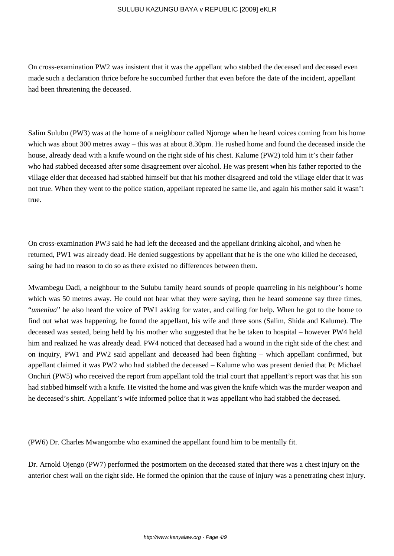On cross-examination PW2 was insistent that it was the appellant who stabbed the deceased and deceased even made such a declaration thrice before he succumbed further that even before the date of the incident, appellant had been threatening the deceased.

Salim Sulubu (PW3) was at the home of a neighbour called Njoroge when he heard voices coming from his home which was about 300 metres away – this was at about 8.30pm. He rushed home and found the deceased inside the house, already dead with a knife wound on the right side of his chest. Kalume (PW2) told him it's their father who had stabbed deceased after some disagreement over alcohol. He was present when his father reported to the village elder that deceased had stabbed himself but that his mother disagreed and told the village elder that it was not true. When they went to the police station, appellant repeated he same lie, and again his mother said it wasn't true.

On cross-examination PW3 said he had left the deceased and the appellant drinking alcohol, and when he returned, PW1 was already dead. He denied suggestions by appellant that he is the one who killed he deceased, saing he had no reason to do so as there existed no differences between them.

Mwambegu Dadi, a neighbour to the Sulubu family heard sounds of people quarreling in his neighbour's home which was 50 metres away. He could not hear what they were saying, then he heard someone say three times, "*umeniua*" he also heard the voice of PW1 asking for water, and calling for help. When he got to the home to find out what was happening, he found the appellant, his wife and three sons (Salim, Shida and Kalume). The deceased was seated, being held by his mother who suggested that he be taken to hospital – however PW4 held him and realized he was already dead. PW4 noticed that deceased had a wound in the right side of the chest and on inquiry, PW1 and PW2 said appellant and deceased had been fighting – which appellant confirmed, but appellant claimed it was PW2 who had stabbed the deceased – Kalume who was present denied that Pc Michael Onchiri (PW5) who received the report from appellant told the trial court that appellant's report was that his son had stabbed himself with a knife. He visited the home and was given the knife which was the murder weapon and he deceased's shirt. Appellant's wife informed police that it was appellant who had stabbed the deceased.

(PW6) Dr. Charles Mwangombe who examined the appellant found him to be mentally fit.

Dr. Arnold Ojengo (PW7) performed the postmortem on the deceased stated that there was a chest injury on the anterior chest wall on the right side. He formed the opinion that the cause of injury was a penetrating chest injury.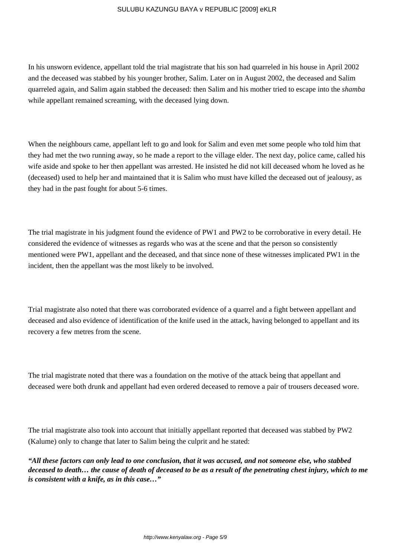In his unsworn evidence, appellant told the trial magistrate that his son had quarreled in his house in April 2002 and the deceased was stabbed by his younger brother, Salim. Later on in August 2002, the deceased and Salim quarreled again, and Salim again stabbed the deceased: then Salim and his mother tried to escape into the *shamba* while appellant remained screaming, with the deceased lying down.

When the neighbours came, appellant left to go and look for Salim and even met some people who told him that they had met the two running away, so he made a report to the village elder. The next day, police came, called his wife aside and spoke to her then appellant was arrested. He insisted he did not kill deceased whom he loved as he (deceased) used to help her and maintained that it is Salim who must have killed the deceased out of jealousy, as they had in the past fought for about 5-6 times.

The trial magistrate in his judgment found the evidence of PW1 and PW2 to be corroborative in every detail. He considered the evidence of witnesses as regards who was at the scene and that the person so consistently mentioned were PW1, appellant and the deceased, and that since none of these witnesses implicated PW1 in the incident, then the appellant was the most likely to be involved.

Trial magistrate also noted that there was corroborated evidence of a quarrel and a fight between appellant and deceased and also evidence of identification of the knife used in the attack, having belonged to appellant and its recovery a few metres from the scene.

The trial magistrate noted that there was a foundation on the motive of the attack being that appellant and deceased were both drunk and appellant had even ordered deceased to remove a pair of trousers deceased wore.

The trial magistrate also took into account that initially appellant reported that deceased was stabbed by PW2 (Kalume) only to change that later to Salim being the culprit and he stated:

*"All these factors can only lead to one conclusion, that it was accused, and not someone else, who stabbed deceased to death… the cause of death of deceased to be as a result of the penetrating chest injury, which to me is consistent with a knife, as in this case…"*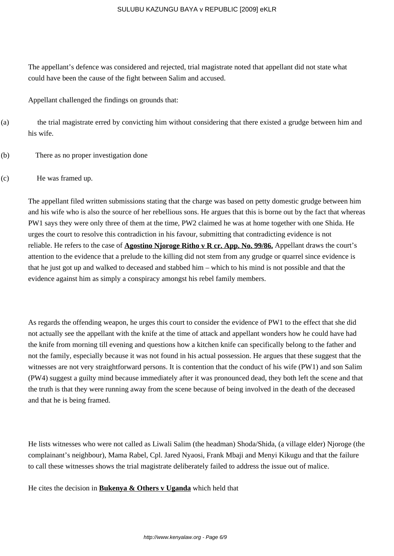The appellant's defence was considered and rejected, trial magistrate noted that appellant did not state what could have been the cause of the fight between Salim and accused.

Appellant challenged the findings on grounds that:

- (a) the trial magistrate erred by convicting him without considering that there existed a grudge between him and his wife.
- (b) There as no proper investigation done
- (c) He was framed up.

The appellant filed written submissions stating that the charge was based on petty domestic grudge between him and his wife who is also the source of her rebellious sons. He argues that this is borne out by the fact that whereas PW1 says they were only three of them at the time, PW2 claimed he was at home together with one Shida. He urges the court to resolve this contradiction in his favour, submitting that contradicting evidence is not reliable. He refers to the case of **Agostino Njoroge Ritho v R cr. App. No. 99/86.** Appellant draws the court's attention to the evidence that a prelude to the killing did not stem from any grudge or quarrel since evidence is that he just got up and walked to deceased and stabbed him – which to his mind is not possible and that the evidence against him as simply a conspiracy amongst his rebel family members.

As regards the offending weapon, he urges this court to consider the evidence of PW1 to the effect that she did not actually see the appellant with the knife at the time of attack and appellant wonders how he could have had the knife from morning till evening and questions how a kitchen knife can specifically belong to the father and not the family, especially because it was not found in his actual possession. He argues that these suggest that the witnesses are not very straightforward persons. It is contention that the conduct of his wife (PW1) and son Salim (PW4) suggest a guilty mind because immediately after it was pronounced dead, they both left the scene and that the truth is that they were running away from the scene because of being involved in the death of the deceased and that he is being framed.

He lists witnesses who were not called as Liwali Salim (the headman) Shoda/Shida, (a village elder) Njoroge (the complainant's neighbour), Mama Rabel, Cpl. Jared Nyaosi, Frank Mbaji and Menyi Kikugu and that the failure to call these witnesses shows the trial magistrate deliberately failed to address the issue out of malice.

He cites the decision in **Bukenya & Others v Uganda** which held that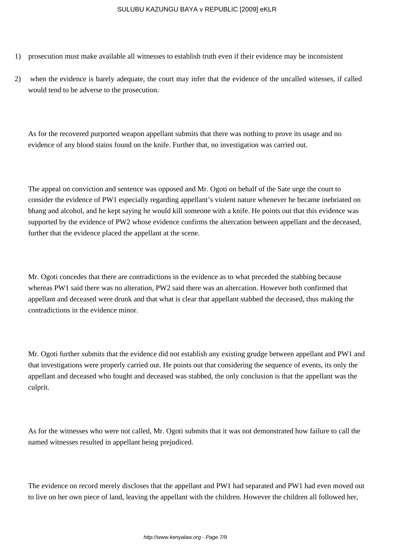- 1) prosecution must make available all witnesses to establish truth even if their evidence may be inconsistent
- 2) when the evidence is barely adequate, the court may infer that the evidence of the uncalled witesses, if called would tend to be adverse to the prosecution.

As for the recovered purported weapon appellant submits that there was nothing to prove its usage and no evidence of any blood stains found on the knife. Further that, no investigation was carried out.

The appeal on conviction and sentence was opposed and Mr. Ogoti on behalf of the Sate urge the court to consider the evidence of PW1 especially regarding appellant's violent nature whenever he became inebriated on bhang and alcohol, and he kept saying he would kill someone with a knife. He points out that this evidence was supported by the evidence of PW2 whose evidence confirms the altercation between appellant and the deceased, further that the evidence placed the appellant at the scene.

Mr. Ogoti concedes that there are contradictions in the evidence as to what preceded the stabbing because whereas PW1 said there was no alteration, PW2 said there was an altercation. However both confirmed that appellant and deceased were drunk and that what is clear that appellant stabbed the deceased, thus making the contradictions in the evidence minor.

Mr. Ogoti further submits that the evidence did not establish any existing grudge between appellant and PW1 and that investigations were properly carried out. He points out that considering the sequence of events, its only the appellant and deceased who fought and deceased was stabbed, the only conclusion is that the appellant was the culprit.

As for the witnesses who were not called, Mr. Ogoti submits that it was not demonstrated how failure to call the named witnesses resulted in appellant being prejudiced.

The evidence on record merely discloses that the appellant and PW1 had separated and PW1 had even moved out to live on her own piece of land, leaving the appellant with the children. However the children all followed her,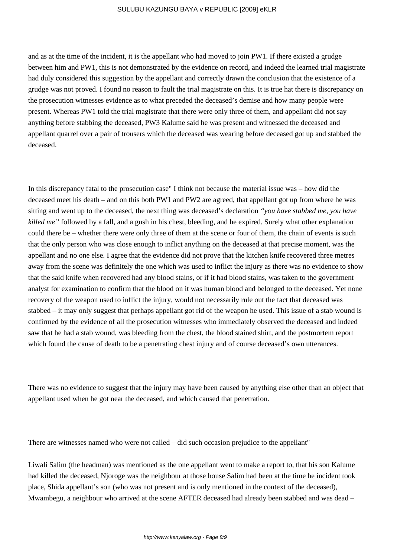and as at the time of the incident, it is the appellant who had moved to join PW1. If there existed a grudge between him and PW1, this is not demonstrated by the evidence on record, and indeed the learned trial magistrate had duly considered this suggestion by the appellant and correctly drawn the conclusion that the existence of a grudge was not proved. I found no reason to fault the trial magistrate on this. It is true hat there is discrepancy on the prosecution witnesses evidence as to what preceded the deceased's demise and how many people were present. Whereas PW1 told the trial magistrate that there were only three of them, and appellant did not say anything before stabbing the deceased, PW3 Kalume said he was present and witnessed the deceased and appellant quarrel over a pair of trousers which the deceased was wearing before deceased got up and stabbed the deceased.

In this discrepancy fatal to the prosecution case" I think not because the material issue was – how did the deceased meet his death – and on this both PW1 and PW2 are agreed, that appellant got up from where he was sitting and went up to the deceased, the next thing was deceased's declaration *"you have stabbed me, you have killed me"* followed by a fall, and a gush in his chest, bleeding, and he expired. Surely what other explanation could there be – whether there were only three of them at the scene or four of them, the chain of events is such that the only person who was close enough to inflict anything on the deceased at that precise moment, was the appellant and no one else. I agree that the evidence did not prove that the kitchen knife recovered three metres away from the scene was definitely the one which was used to inflict the injury as there was no evidence to show that the said knife when recovered had any blood stains, or if it had blood stains, was taken to the government analyst for examination to confirm that the blood on it was human blood and belonged to the deceased. Yet none recovery of the weapon used to inflict the injury, would not necessarily rule out the fact that deceased was stabbed – it may only suggest that perhaps appellant got rid of the weapon he used. This issue of a stab wound is confirmed by the evidence of all the prosecution witnesses who immediately observed the deceased and indeed saw that he had a stab wound, was bleeding from the chest, the blood stained shirt, and the postmortem report which found the cause of death to be a penetrating chest injury and of course deceased's own utterances.

There was no evidence to suggest that the injury may have been caused by anything else other than an object that appellant used when he got near the deceased, and which caused that penetration.

There are witnesses named who were not called – did such occasion prejudice to the appellant"

Liwali Salim (the headman) was mentioned as the one appellant went to make a report to, that his son Kalume had killed the deceased, Njoroge was the neighbour at those house Salim had been at the time he incident took place, Shida appellant's son (who was not present and is only mentioned in the context of the deceased), Mwambegu, a neighbour who arrived at the scene AFTER deceased had already been stabbed and was dead –